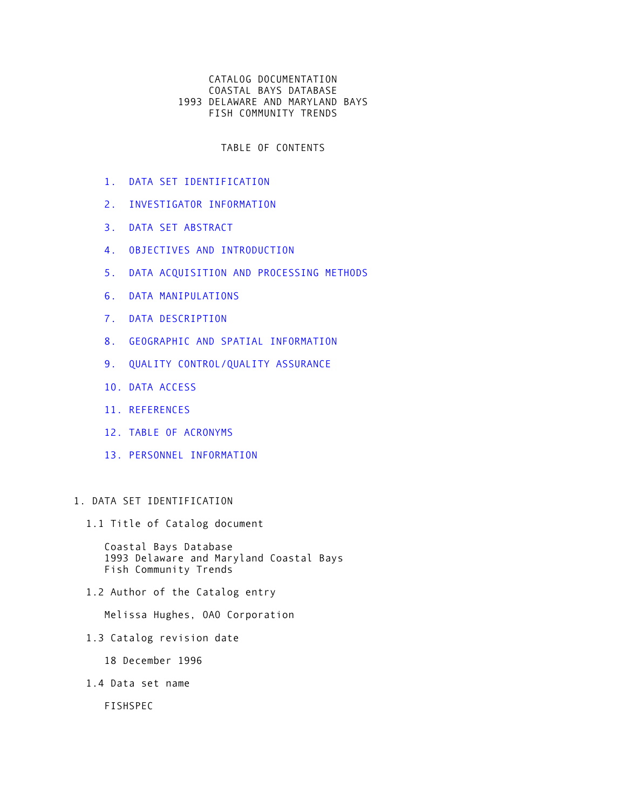# CATALOG DOCUMENTATION COASTAL BAYS DATABASE 1993 DELAWARE AND MARYLAND BAYS FISH COMMUNITY TRENDS

TABLE OF CONTENTS

- [1. DATA SET IDENTIFICATION](#page-0-0)
- [2. INVESTIGATOR INFORMATION](#page-1-0)
- [3. DATA SET ABSTRACT](#page-1-1)
- [4. OBJECTIVES AND INTRODUCTION](#page-2-0)
- [5. DATA ACQUISITION AND PROCESSING METHODS](#page-2-1)
- [6. DATA MANIPULATIONS](#page-4-0)
- [7. DATA DESCRIPTION](#page-4-1)
- [8. GEOGRAPHIC AND SPATIAL INFORMATION](#page-5-0)
- [9. QUALITY CONTROL/QUALITY ASSURANCE](#page-5-1)
- [10. DATA ACCESS](#page-6-0)
- [11. REFERENCES](#page-7-0)
- [12. TABLE OF ACRONYMS](#page-7-1)
- [13. PERSONNEL INFORMATION](#page-7-2)

# <span id="page-0-0"></span>1. DATA SET IDENTIFICATION

1.1 Title of Catalog document

 Coastal Bays Database 1993 Delaware and Maryland Coastal Bays Fish Community Trends

1.2 Author of the Catalog entry

Melissa Hughes, OAO Corporation

1.3 Catalog revision date

18 December 1996

1.4 Data set name

FISHSPEC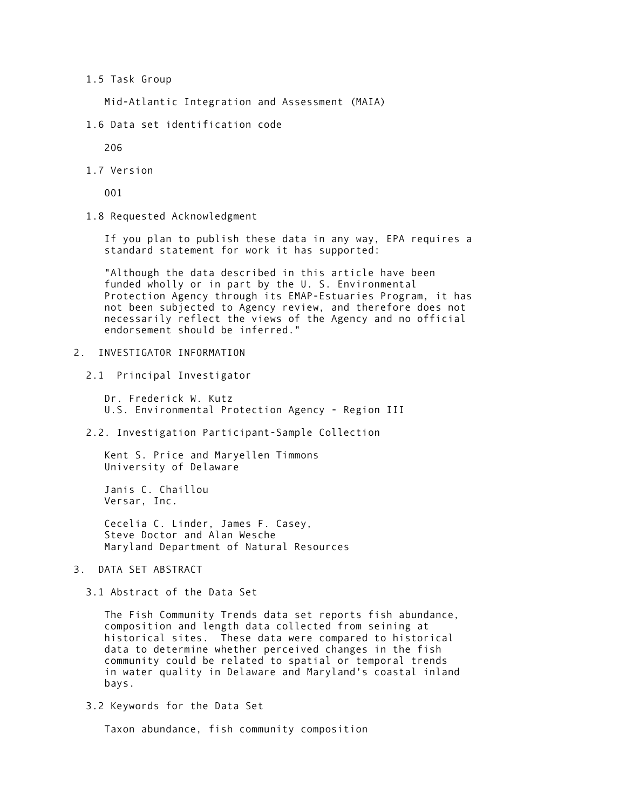### 1.5 Task Group

Mid-Atlantic Integration and Assessment (MAIA)

1.6 Data set identification code

206

1.7 Version

001

1.8 Requested Acknowledgment

 If you plan to publish these data in any way, EPA requires a standard statement for work it has supported:

 "Although the data described in this article have been funded wholly or in part by the U. S. Environmental Protection Agency through its EMAP-Estuaries Program, it has not been subjected to Agency review, and therefore does not necessarily reflect the views of the Agency and no official endorsement should be inferred."

### <span id="page-1-0"></span>2. INVESTIGATOR INFORMATION

2.1 Principal Investigator

 Dr. Frederick W. Kutz U.S. Environmental Protection Agency - Region III

2.2. Investigation Participant-Sample Collection

 Kent S. Price and Maryellen Timmons University of Delaware

 Janis C. Chaillou Versar, Inc.

 Cecelia C. Linder, James F. Casey, Steve Doctor and Alan Wesche Maryland Department of Natural Resources

<span id="page-1-1"></span>3. DATA SET ABSTRACT

3.1 Abstract of the Data Set

 The Fish Community Trends data set reports fish abundance, composition and length data collected from seining at historical sites. These data were compared to historical data to determine whether perceived changes in the fish community could be related to spatial or temporal trends in water quality in Delaware and Maryland's coastal inland bays.

3.2 Keywords for the Data Set

Taxon abundance, fish community composition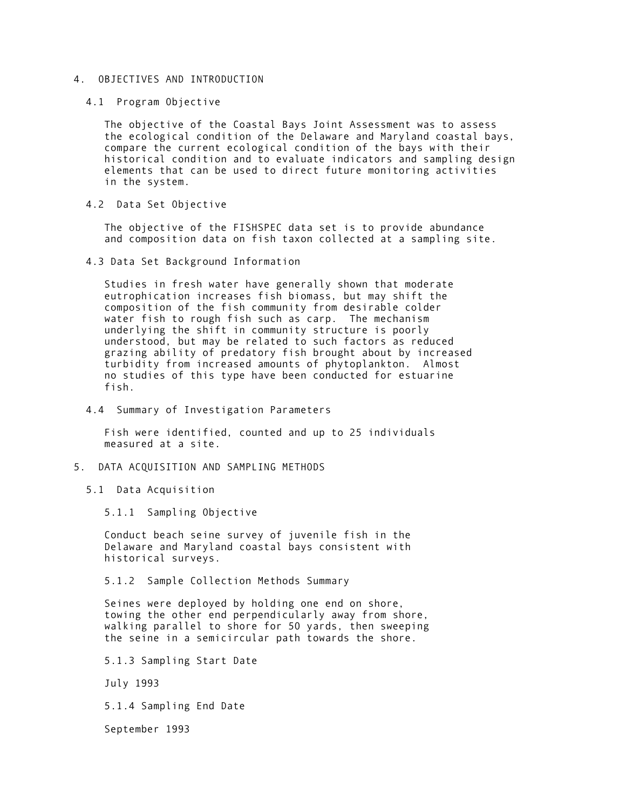# <span id="page-2-0"></span>4. OBJECTIVES AND INTRODUCTION

4.1 Program Objective

 The objective of the Coastal Bays Joint Assessment was to assess the ecological condition of the Delaware and Maryland coastal bays, compare the current ecological condition of the bays with their historical condition and to evaluate indicators and sampling design elements that can be used to direct future monitoring activities in the system.

4.2 Data Set Objective

 The objective of the FISHSPEC data set is to provide abundance and composition data on fish taxon collected at a sampling site.

4.3 Data Set Background Information

 Studies in fresh water have generally shown that moderate eutrophication increases fish biomass, but may shift the composition of the fish community from desirable colder water fish to rough fish such as carp. The mechanism underlying the shift in community structure is poorly understood, but may be related to such factors as reduced grazing ability of predatory fish brought about by increased turbidity from increased amounts of phytoplankton. Almost no studies of this type have been conducted for estuarine fish.

4.4 Summary of Investigation Parameters

 Fish were identified, counted and up to 25 individuals measured at a site.

- <span id="page-2-1"></span>5. DATA ACQUISITION AND SAMPLING METHODS
	- 5.1 Data Acquisition

5.1.1 Sampling Objective

 Conduct beach seine survey of juvenile fish in the Delaware and Maryland coastal bays consistent with historical surveys.

5.1.2 Sample Collection Methods Summary

 Seines were deployed by holding one end on shore, towing the other end perpendicularly away from shore, walking parallel to shore for 50 yards, then sweeping the seine in a semicircular path towards the shore.

5.1.3 Sampling Start Date

July 1993

5.1.4 Sampling End Date

September 1993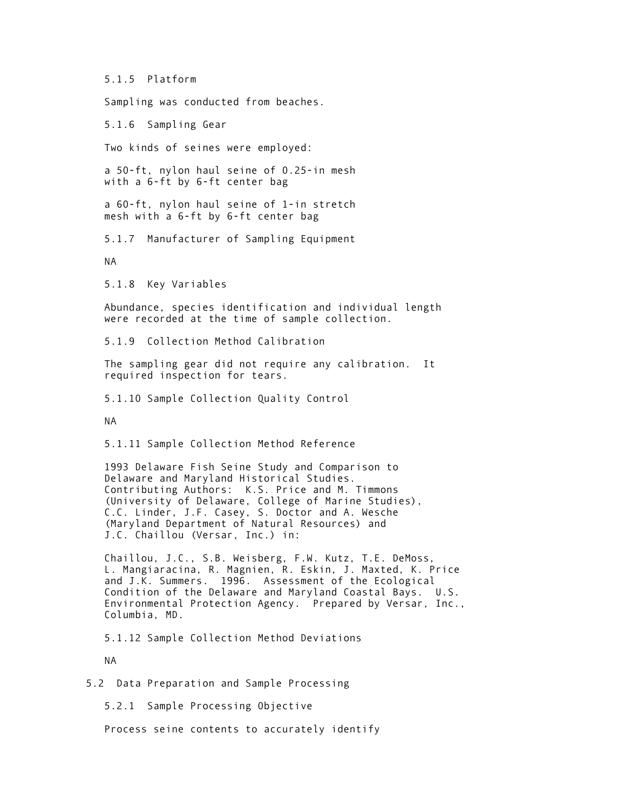5.1.5 Platform

Sampling was conducted from beaches.

5.1.6 Sampling Gear

Two kinds of seines were employed:

 a 50-ft, nylon haul seine of 0.25-in mesh with a 6-ft by 6-ft center bag

 a 60-ft, nylon haul seine of 1-in stretch mesh with a 6-ft by 6-ft center bag

5.1.7 Manufacturer of Sampling Equipment

NA

5.1.8 Key Variables

 Abundance, species identification and individual length were recorded at the time of sample collection.

5.1.9 Collection Method Calibration

 The sampling gear did not require any calibration. It required inspection for tears.

5.1.10 Sample Collection Quality Control

NA

5.1.11 Sample Collection Method Reference

 1993 Delaware Fish Seine Study and Comparison to Delaware and Maryland Historical Studies. Contributing Authors: K.S. Price and M. Timmons (University of Delaware, College of Marine Studies), C.C. Linder, J.F. Casey, S. Doctor and A. Wesche (Maryland Department of Natural Resources) and J.C. Chaillou (Versar, Inc.) in:

 Chaillou, J.C., S.B. Weisberg, F.W. Kutz, T.E. DeMoss, L. Mangiaracina, R. Magnien, R. Eskin, J. Maxted, K. Price and J.K. Summers. 1996. Assessment of the Ecological Condition of the Delaware and Maryland Coastal Bays. U.S. Environmental Protection Agency. Prepared by Versar, Inc., Columbia, MD.

5.1.12 Sample Collection Method Deviations

NA

5.2 Data Preparation and Sample Processing

5.2.1 Sample Processing Objective

Process seine contents to accurately identify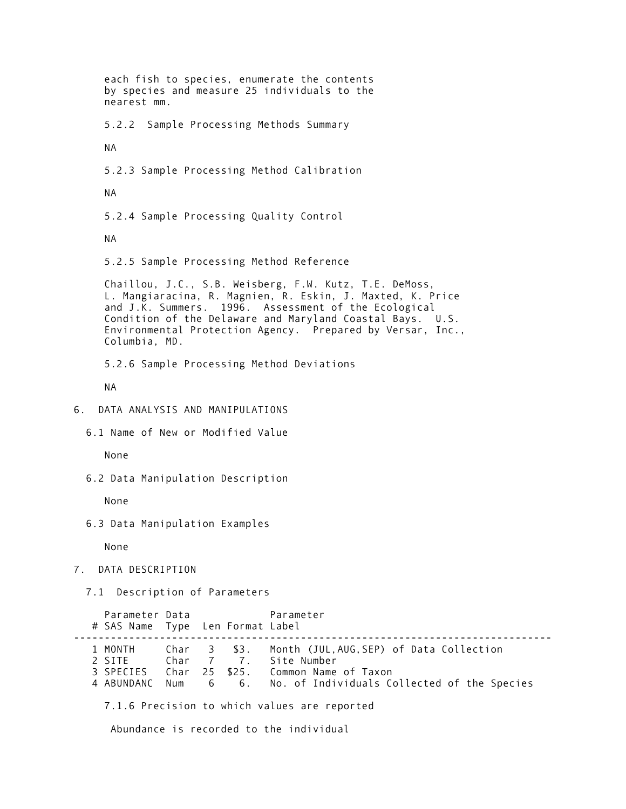<span id="page-4-0"></span> each fish to species, enumerate the contents by species and measure 25 individuals to the nearest mm. 5.2.2 Sample Processing Methods Summary NA 5.2.3 Sample Processing Method Calibration NA 5.2.4 Sample Processing Quality Control NA 5.2.5 Sample Processing Method Reference Chaillou, J.C., S.B. Weisberg, F.W. Kutz, T.E. DeMoss, L. Mangiaracina, R. Magnien, R. Eskin, J. Maxted, K. Price and J.K. Summers. 1996. Assessment of the Ecological Condition of the Delaware and Maryland Coastal Bays. U.S. Environmental Protection Agency. Prepared by Versar, Inc., Columbia, MD. 5.2.6 Sample Processing Method Deviations NA 6. DATA ANALYSIS AND MANIPULATIONS 6.1 Name of New or Modified Value None 6.2 Data Manipulation Description None 6.3 Data Manipulation Examples None 7. DATA DESCRIPTION 7.1 Description of Parameters Parameter Data Parameter # SAS Name Type Len Format Label ------------------------------------------------------------------------------ 1 MONTH Char 3 \$3. Month (JUL,AUG,SEP) of Data Collection 2 SITE Char 7 7. Site Number 3 SPECIES Char 25 \$25. Common Name of Taxon 4 ABUNDANC Num 6 6. No. of Individuals Collected of the Species

<span id="page-4-1"></span>7.1.6 Precision to which values are reported

Abundance is recorded to the individual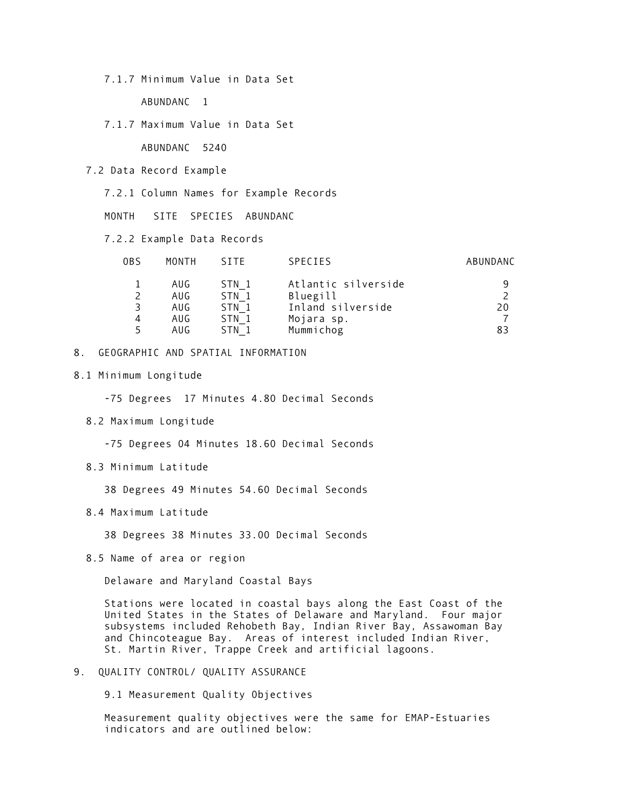7.1.7 Minimum Value in Data Set

ABUNDANC 1

7.1.7 Maximum Value in Data Set

ABUNDANC 5240

7.2 Data Record Example

7.2.1 Column Names for Example Records

MONTH SITE SPECIES ABUNDANC

7.2.2 Example Data Records

| 0BS | MONTH | <b>STTF</b> | <b>SPECIES</b>      | ABUNDANC |
|-----|-------|-------------|---------------------|----------|
|     | AUG   | STN 1       | Atlantic silverside |          |
|     | AUG   | STN 1       | Bluegill            |          |
| 3   | AUG   | STN 1       | Inland silverside   | 20       |
| 4   | AUG   | STN 1       | Mojara sp.          |          |
|     | AUG   | STN 1       | Mummichog           | 83       |

#### <span id="page-5-0"></span>8. GEOGRAPHIC AND SPATIAL INFORMATION

8.1 Minimum Longitude

-75 Degrees 17 Minutes 4.80 Decimal Seconds

8.2 Maximum Longitude

-75 Degrees 04 Minutes 18.60 Decimal Seconds

8.3 Minimum Latitude

38 Degrees 49 Minutes 54.60 Decimal Seconds

8.4 Maximum Latitude

38 Degrees 38 Minutes 33.00 Decimal Seconds

8.5 Name of area or region

Delaware and Maryland Coastal Bays

 Stations were located in coastal bays along the East Coast of the United States in the States of Delaware and Maryland. Four major subsystems included Rehobeth Bay, Indian River Bay, Assawoman Bay and Chincoteague Bay. Areas of interest included Indian River, St. Martin River, Trappe Creek and artificial lagoons.

<span id="page-5-1"></span>9. QUALITY CONTROL/ QUALITY ASSURANCE

9.1 Measurement Quality Objectives

 Measurement quality objectives were the same for EMAP-Estuaries indicators and are outlined below: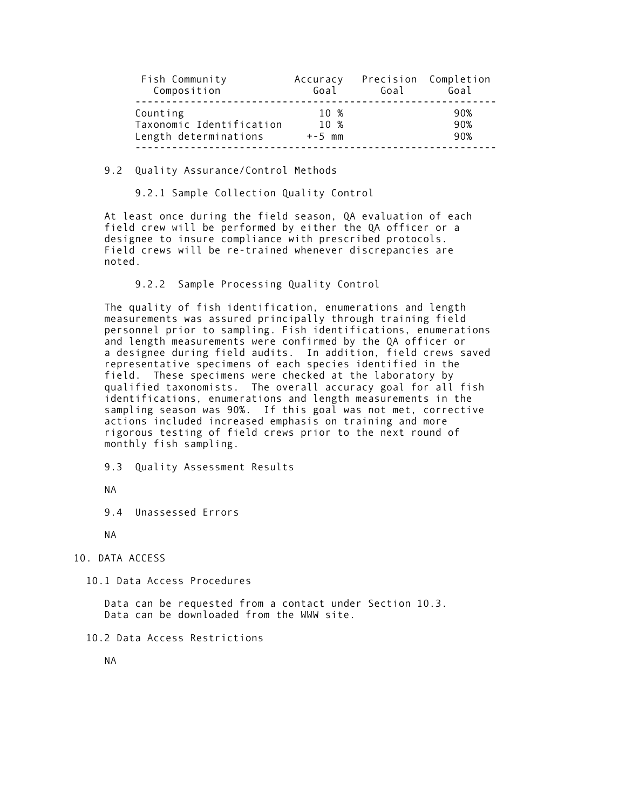| Fish Community           | Accuracy | Goal | Precision Completion |
|--------------------------|----------|------|----------------------|
| Composition              | Goal     |      | Goal                 |
| Counting                 | 10 %     |      | 90%                  |
| Taxonomic Identification | 10 %     |      | 90%                  |
| Length determinations    | $+-5$ mm |      | 90%                  |

#### 9.2 Quality Assurance/Control Methods

9.2.1 Sample Collection Quality Control

 At least once during the field season, QA evaluation of each field crew will be performed by either the QA officer or a designee to insure compliance with prescribed protocols. Field crews will be re-trained whenever discrepancies are noted.

9.2.2 Sample Processing Quality Control

 The quality of fish identification, enumerations and length measurements was assured principally through training field personnel prior to sampling. Fish identifications, enumerations and length measurements were confirmed by the QA officer or a designee during field audits. In addition, field crews saved representative specimens of each species identified in the field. These specimens were checked at the laboratory by qualified taxonomists. The overall accuracy goal for all fish identifications, enumerations and length measurements in the sampling season was 90%. If this goal was not met, corrective actions included increased emphasis on training and more rigorous testing of field crews prior to the next round of monthly fish sampling.

9.3 Quality Assessment Results

NA

9.4 Unassessed Errors

NA

<span id="page-6-0"></span>10. DATA ACCESS

10.1 Data Access Procedures

 Data can be requested from a contact under Section 10.3. Data can be downloaded from the WWW site.

10.2 Data Access Restrictions

NA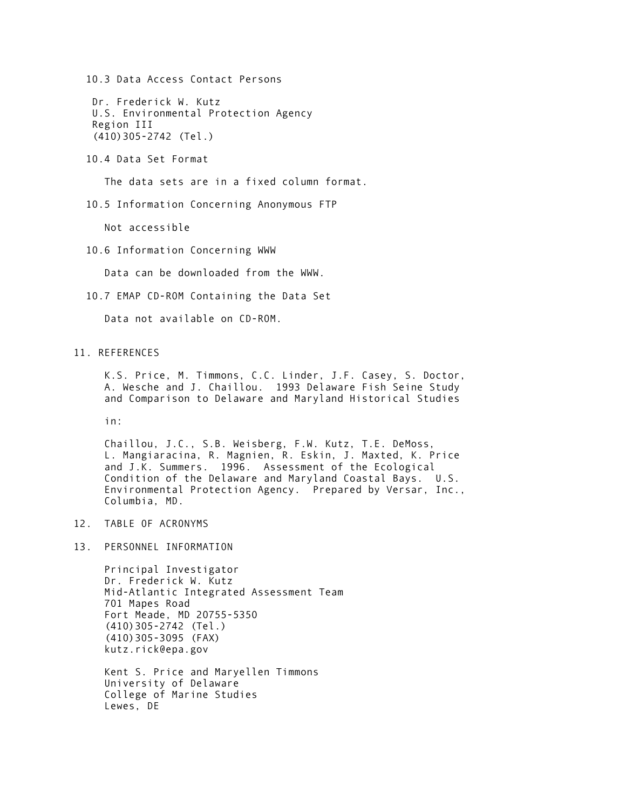10.3 Data Access Contact Persons

 Dr. Frederick W. Kutz U.S. Environmental Protection Agency Region III (410)305-2742 (Tel.)

10.4 Data Set Format

The data sets are in a fixed column format.

10.5 Information Concerning Anonymous FTP

Not accessible

10.6 Information Concerning WWW

Data can be downloaded from the WWW.

10.7 EMAP CD-ROM Containing the Data Set

Data not available on CD-ROM.

<span id="page-7-0"></span>11. REFERENCES

 K.S. Price, M. Timmons, C.C. Linder, J.F. Casey, S. Doctor, A. Wesche and J. Chaillou. 1993 Delaware Fish Seine Study and Comparison to Delaware and Maryland Historical Studies

in:

 Chaillou, J.C., S.B. Weisberg, F.W. Kutz, T.E. DeMoss, L. Mangiaracina, R. Magnien, R. Eskin, J. Maxted, K. Price and J.K. Summers. 1996. Assessment of the Ecological Condition of the Delaware and Maryland Coastal Bays. U.S. Environmental Protection Agency. Prepared by Versar, Inc., Columbia, MD.

- <span id="page-7-2"></span><span id="page-7-1"></span>12. TABLE OF ACRONYMS
- 13. PERSONNEL INFORMATION

 Principal Investigator Dr. Frederick W. Kutz Mid-Atlantic Integrated Assessment Team 701 Mapes Road Fort Meade, MD 20755-5350 (410)305-2742 (Tel.) (410)305-3095 (FAX) kutz.rick@epa.gov

 Kent S. Price and Maryellen Timmons University of Delaware College of Marine Studies Lewes, DE